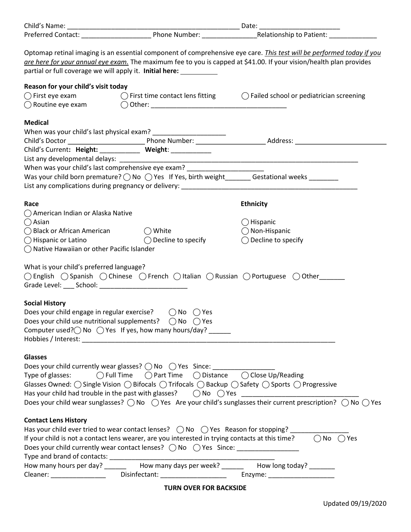| partial or full coverage we will apply it. Initial here: __________                                                                                                                                                                                                                                                                                                                                                                                                                                                                           |                            | Optomap retinal imaging is an essential component of comprehensive eye care. <i>This test will be performed today if you</i><br>gre here for your annual eye exam. The maximum fee to you is capped at \$41.00. If your vision/health plan provides |  |
|-----------------------------------------------------------------------------------------------------------------------------------------------------------------------------------------------------------------------------------------------------------------------------------------------------------------------------------------------------------------------------------------------------------------------------------------------------------------------------------------------------------------------------------------------|----------------------------|-----------------------------------------------------------------------------------------------------------------------------------------------------------------------------------------------------------------------------------------------------|--|
| Reason for your child's visit today                                                                                                                                                                                                                                                                                                                                                                                                                                                                                                           |                            | $\bigcirc$ First eye exam $\bigcirc$ First time contact lens fitting $\bigcirc$ Failed school or pediatrician screening                                                                                                                             |  |
| <b>Medical</b><br>Child's Current: Height: ___________ Weight: ___________                                                                                                                                                                                                                                                                                                                                                                                                                                                                    |                            |                                                                                                                                                                                                                                                     |  |
| When was your child's last comprehensive eye exam? _____________________________<br>Was your child born premature? $\bigcirc$ No $\bigcirc$ Yes If Yes, birth weight _______ Gestational weeks _______                                                                                                                                                                                                                                                                                                                                        |                            |                                                                                                                                                                                                                                                     |  |
| Race<br>◯ American Indian or Alaska Native<br>$\bigcirc$ Asian<br>$\bigcirc$ Black or African American $\bigcirc$ White<br>$\bigcirc$ Hispanic or Latino $\bigcirc$ Decline to specify<br>$\bigcirc$ Native Hawaiian or other Pacific Islander<br>What is your child's preferred language?<br>○ English ○ Spanish ○ Chinese ○ French ○ Italian ○ Russian ○ Portuguese ○ Other<br>Grade Level: ____ School: _____________________________<br><b>Social History</b><br>Does your child engage in regular exercise? $\bigcirc$ No $\bigcirc$ Yes |                            | <b>Ethnicity</b><br>$\bigcirc$ Hispanic<br>$\bigcap$ Non-Hispanic<br>$\bigcirc$ Decline to specify                                                                                                                                                  |  |
| Does your child use nutritional supplements?<br>Computer used? $\bigcirc$ No $\bigcirc$ Yes If yes, how many hours/day? ______                                                                                                                                                                                                                                                                                                                                                                                                                | $\bigcap$ No $\bigcap$ Yes |                                                                                                                                                                                                                                                     |  |
| <b>Glasses</b><br>Does your child currently wear glasses? $\bigcirc$ No $\bigcirc$ Yes Since: _______________<br>Type of glasses: $\bigcirc$ Full Time $\bigcirc$ Part Time $\bigcirc$ Distance $\bigcirc$ Close Up/Reading<br>Glasses Owned: ( ) Single Vision ( ) Bifocals ( ) Trifocals ( ) Backup ( ) Safety ( ) Sports ( ) Progressive                                                                                                                                                                                                   |                            | Does your child wear sunglasses? $\bigcirc$ No $\bigcirc$ Yes Are your child's sunglasses their current prescription? $\bigcirc$ No $\bigcirc$ Yes                                                                                                  |  |
| <b>Contact Lens History</b><br>Has your child ever tried to wear contact lenses? ( ) No ( ) Yes Reason for stopping?<br>If your child is not a contact lens wearer, are you interested in trying contacts at this time?<br>Does your child currently wear contact lenses? ( ) No ( ) Yes Since: ____________<br>How many hours per day? ________ How many days per week? _______ How long today? ______                                                                                                                                       |                            | $\bigcap$ No $\bigcap$ Yes                                                                                                                                                                                                                          |  |

TURN OVER FOR BACKSIDE